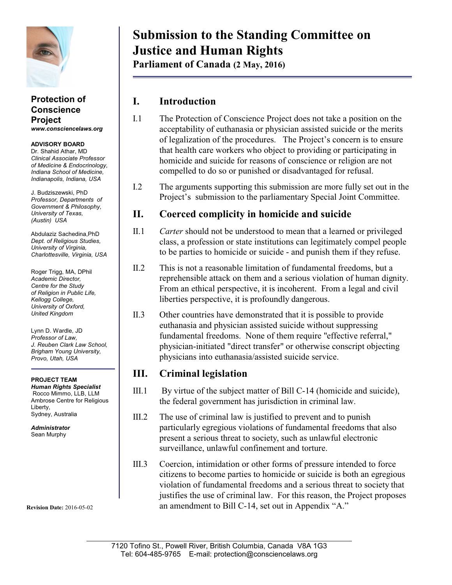

#### **Protection of Conscience Project** *www.consciencelaws.org*

**ADVISORY BOARD** Dr. Shahid Athar, MD *Clinical Associate Professor of Medicine & Endocrinology, Indiana School of Medicine, Indianapolis, Indiana, USA*

J. Budziszewski, PhD *Professor, Departments of Government & Philosophy, University of Texas, (Austin) USA*

Abdulaziz Sachedina,PhD *Dept. of Religious Studies, University of Virginia, Charlottesville, Virginia, USA*

Roger Trigg, MA, DPhil *Academic Director, Centre for the Study of Religion in Public Life, Kellogg College, University of Oxford, United Kingdom*

Lynn D. Wardle, JD *Professor of Law, J. Reuben Clark Law School, Brigham Young University, Provo, Utah, USA*

**PROJECT TEAM** *Human Rights Specialist* Rocco Mimmo, LLB, LLM Ambrose Centre for Religious Liberty, Sydney, Australia

*Administrator* Sean Murphy

**Revision Date:** 2016-05-02

# **Submission to the Standing Committee on Justice and Human Rights**

**Parliament of Canada (2 May, 2016)**

### **I. Introduction**

- I.1 The Protection of Conscience Project does not take a position on the acceptability of euthanasia or physician assisted suicide or the merits of legalization of the procedures. The Project's concern is to ensure that health care workers who object to providing or participating in homicide and suicide for reasons of conscience or religion are not compelled to do so or punished or disadvantaged for refusal.
- I.2 The arguments supporting this submission are more fully set out in the Project's submission to the parliamentary Special Joint Committee.

### **II. Coerced complicity in homicide and suicide**

- II.1 *Carter* should not be understood to mean that a learned or privileged class, a profession or state institutions can legitimately compel people to be parties to homicide or suicide - and punish them if they refuse.
- II.2 This is not a reasonable limitation of fundamental freedoms, but a reprehensible attack on them and a serious violation of human dignity. From an ethical perspective, it is incoherent. From a legal and civil liberties perspective, it is profoundly dangerous.
- II.3 Other countries have demonstrated that it is possible to provide euthanasia and physician assisted suicide without suppressing fundamental freedoms. None of them require "effective referral," physician-initiated "direct transfer" or otherwise conscript objecting physicians into euthanasia/assisted suicide service.

### **III. Criminal legislation**

- III.1 By virtue of the subject matter of Bill C-14 (homicide and suicide), the federal government has jurisdiction in criminal law.
- III.2 The use of criminal law is justified to prevent and to punish particularly egregious violations of fundamental freedoms that also present a serious threat to society, such as unlawful electronic surveillance, unlawful confinement and torture.
- III.3 Coercion, intimidation or other forms of pressure intended to force citizens to become parties to homicide or suicide is both an egregious violation of fundamental freedoms and a serious threat to society that justifies the use of criminal law. For this reason, the Project proposes an amendment to Bill C-14, set out in Appendix "A."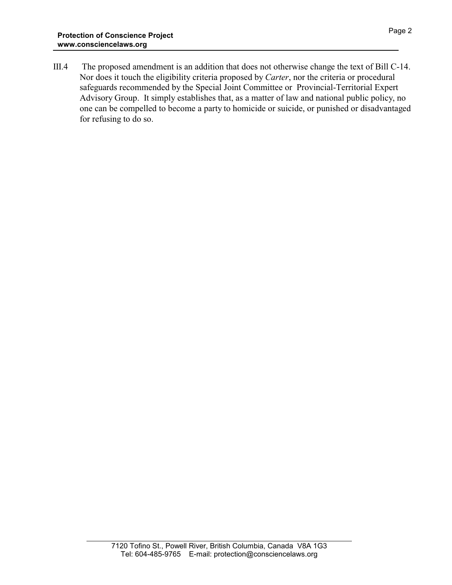III.4 The proposed amendment is an addition that does not otherwise change the text of Bill C-14. Nor does it touch the eligibility criteria proposed by *Carter*, nor the criteria or procedural safeguards recommended by the Special Joint Committee or Provincial-Territorial Expert Advisory Group. It simply establishes that, as a matter of law and national public policy, no one can be compelled to become a party to homicide or suicide, or punished or disadvantaged for refusing to do so.